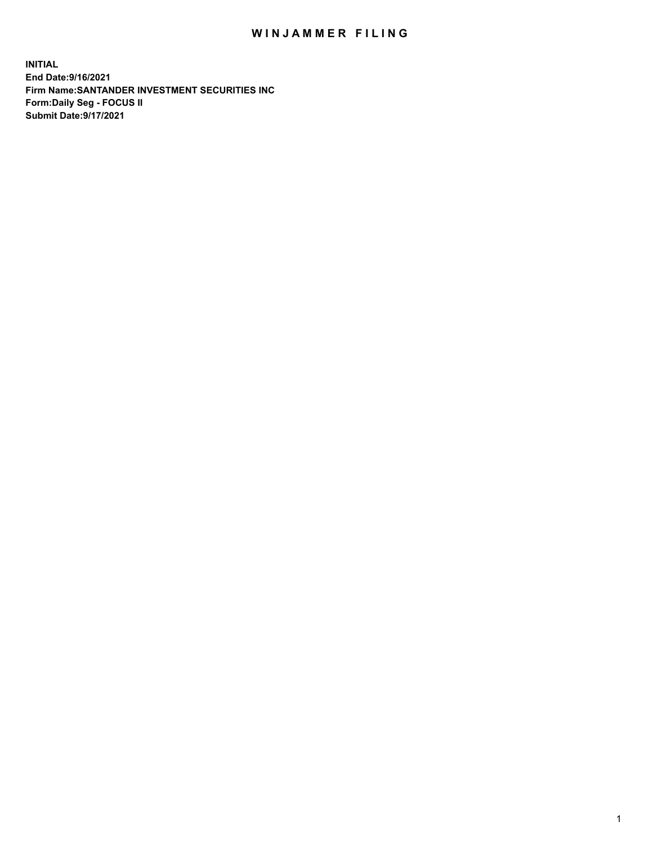## WIN JAMMER FILING

**INITIAL End Date:9/16/2021 Firm Name:SANTANDER INVESTMENT SECURITIES INC Form:Daily Seg - FOCUS II Submit Date:9/17/2021**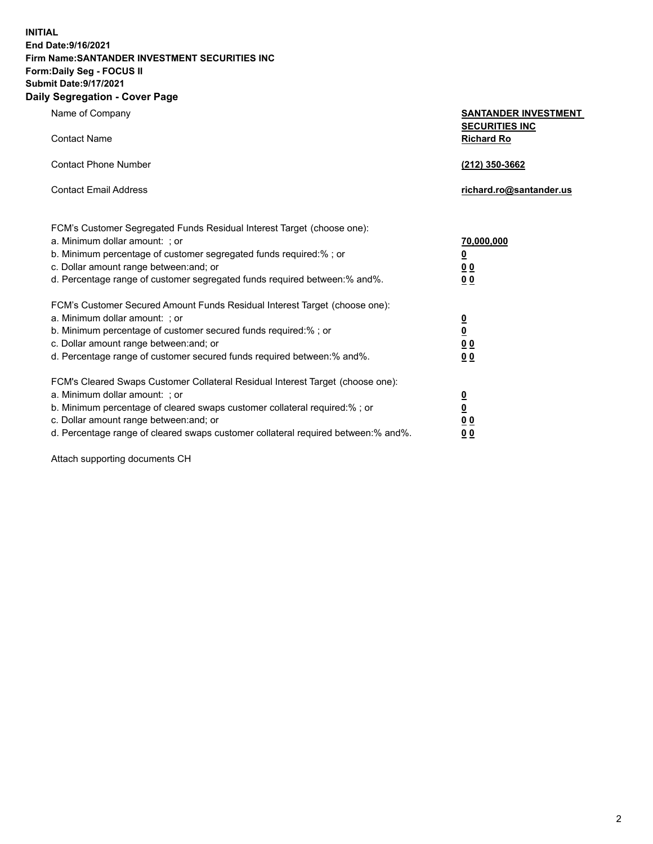**INITIAL End Date:9/16/2021 Firm Name:SANTANDER INVESTMENT SECURITIES INC Form:Daily Seg - FOCUS II Submit Date:9/17/2021 Daily Segregation - Cover Page**

| Name of Company<br><b>Contact Name</b>                                            | <b>SANTANDER INVESTMENT</b><br><b>SECURITIES INC</b><br><b>Richard Ro</b> |  |
|-----------------------------------------------------------------------------------|---------------------------------------------------------------------------|--|
|                                                                                   |                                                                           |  |
| <b>Contact Phone Number</b>                                                       | (212) 350-3662                                                            |  |
| <b>Contact Email Address</b>                                                      | richard.ro@santander.us                                                   |  |
| FCM's Customer Segregated Funds Residual Interest Target (choose one):            |                                                                           |  |
| a. Minimum dollar amount: ; or                                                    | <u>70,000,000</u>                                                         |  |
| b. Minimum percentage of customer segregated funds required:% ; or                | $\overline{\mathbf{0}}$                                                   |  |
| c. Dollar amount range between: and; or                                           | 0 <sub>0</sub>                                                            |  |
| d. Percentage range of customer segregated funds required between:% and%.         | 0 <sub>0</sub>                                                            |  |
| FCM's Customer Secured Amount Funds Residual Interest Target (choose one):        |                                                                           |  |
| a. Minimum dollar amount: ; or                                                    | $\frac{0}{0}$                                                             |  |
| b. Minimum percentage of customer secured funds required:% ; or                   |                                                                           |  |
| c. Dollar amount range between: and; or                                           | 0 <sub>0</sub>                                                            |  |
| d. Percentage range of customer secured funds required between:% and%.            | 0 <sub>0</sub>                                                            |  |
| FCM's Cleared Swaps Customer Collateral Residual Interest Target (choose one):    |                                                                           |  |
| a. Minimum dollar amount: ; or                                                    |                                                                           |  |
| b. Minimum percentage of cleared swaps customer collateral required:% ; or        | $\frac{0}{0}$                                                             |  |
| c. Dollar amount range between: and; or                                           | 0 <sub>0</sub>                                                            |  |
| d. Percentage range of cleared swaps customer collateral required between:% and%. | 00                                                                        |  |

Attach supporting documents CH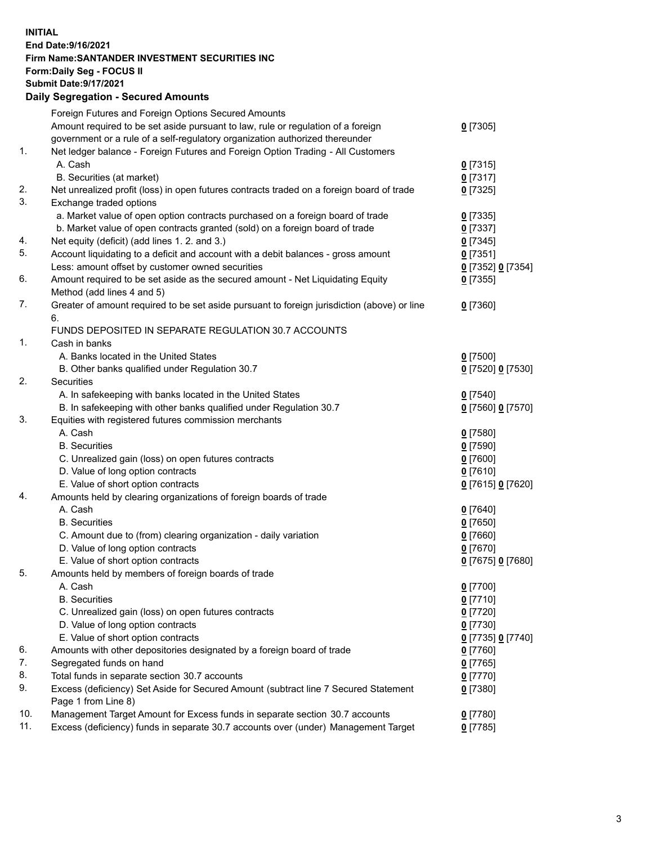**INITIAL End Date:9/16/2021 Firm Name:SANTANDER INVESTMENT SECURITIES INC Form:Daily Seg - FOCUS II Submit Date:9/17/2021 Daily Segregation - Secured Amounts**

|          | Foreign Futures and Foreign Options Secured Amounts                                         |                     |
|----------|---------------------------------------------------------------------------------------------|---------------------|
|          | Amount required to be set aside pursuant to law, rule or regulation of a foreign            | $0$ [7305]          |
|          | government or a rule of a self-regulatory organization authorized thereunder                |                     |
| 1.       | Net ledger balance - Foreign Futures and Foreign Option Trading - All Customers             |                     |
|          | A. Cash                                                                                     | $0$ [7315]          |
|          | B. Securities (at market)                                                                   | $0$ [7317]          |
| 2.       | Net unrealized profit (loss) in open futures contracts traded on a foreign board of trade   | $0$ [7325]          |
| 3.       | Exchange traded options                                                                     |                     |
|          | a. Market value of open option contracts purchased on a foreign board of trade              | $0$ [7335]          |
|          | b. Market value of open contracts granted (sold) on a foreign board of trade                | $0$ [7337]          |
| 4.       | Net equity (deficit) (add lines 1. 2. and 3.)                                               | $0$ [7345]          |
| 5.       | Account liquidating to a deficit and account with a debit balances - gross amount           | $0$ [7351]          |
|          | Less: amount offset by customer owned securities                                            | 0 [7352] 0 [7354]   |
| 6.       | Amount required to be set aside as the secured amount - Net Liquidating Equity              | $0$ [7355]          |
|          | Method (add lines 4 and 5)                                                                  |                     |
| 7.       | Greater of amount required to be set aside pursuant to foreign jurisdiction (above) or line | $0$ [7360]          |
|          | 6.                                                                                          |                     |
|          | FUNDS DEPOSITED IN SEPARATE REGULATION 30.7 ACCOUNTS                                        |                     |
| 1.       | Cash in banks                                                                               |                     |
|          | A. Banks located in the United States                                                       | $0$ [7500]          |
|          | B. Other banks qualified under Regulation 30.7                                              | 0 [7520] 0 [7530]   |
| 2.       | <b>Securities</b>                                                                           |                     |
|          | A. In safekeeping with banks located in the United States                                   | $0$ [7540]          |
|          | B. In safekeeping with other banks qualified under Regulation 30.7                          | 0 [7560] 0 [7570]   |
| 3.       | Equities with registered futures commission merchants                                       |                     |
|          | A. Cash                                                                                     | $0$ [7580]          |
|          | <b>B.</b> Securities                                                                        | $0$ [7590]          |
|          | C. Unrealized gain (loss) on open futures contracts                                         | $0$ [7600]          |
|          | D. Value of long option contracts                                                           | $0$ [7610]          |
|          | E. Value of short option contracts                                                          | 0 [7615] 0 [7620]   |
| 4.       | Amounts held by clearing organizations of foreign boards of trade                           |                     |
|          | A. Cash                                                                                     | $0$ [7640]          |
|          | <b>B.</b> Securities                                                                        | $0$ [7650]          |
|          | C. Amount due to (from) clearing organization - daily variation                             | $0$ [7660]          |
|          | D. Value of long option contracts                                                           | $0$ [7670]          |
| 5.       | E. Value of short option contracts                                                          | 0 [7675] 0 [7680]   |
|          | Amounts held by members of foreign boards of trade                                          |                     |
|          | A. Cash                                                                                     | 0 [7700]            |
|          | <b>B.</b> Securities                                                                        | 0 <sup>[7710]</sup> |
|          | C. Unrealized gain (loss) on open futures contracts<br>D. Value of long option contracts    | $0$ [7720]          |
|          | E. Value of short option contracts                                                          | $0$ [7730]          |
|          |                                                                                             | 0 [7735] 0 [7740]   |
| 6.<br>7. | Amounts with other depositories designated by a foreign board of trade                      | 0 [7760]            |
| 8.       | Segregated funds on hand<br>Total funds in separate section 30.7 accounts                   | $0$ [7765]          |
| 9.       | Excess (deficiency) Set Aside for Secured Amount (subtract line 7 Secured Statement         | $0$ [7770]          |
|          | Page 1 from Line 8)                                                                         | 0 [7380]            |
| 10.      | Management Target Amount for Excess funds in separate section 30.7 accounts                 | $0$ [7780]          |
| 11.      | Excess (deficiency) funds in separate 30.7 accounts over (under) Management Target          | 0 <sup>[7785]</sup> |
|          |                                                                                             |                     |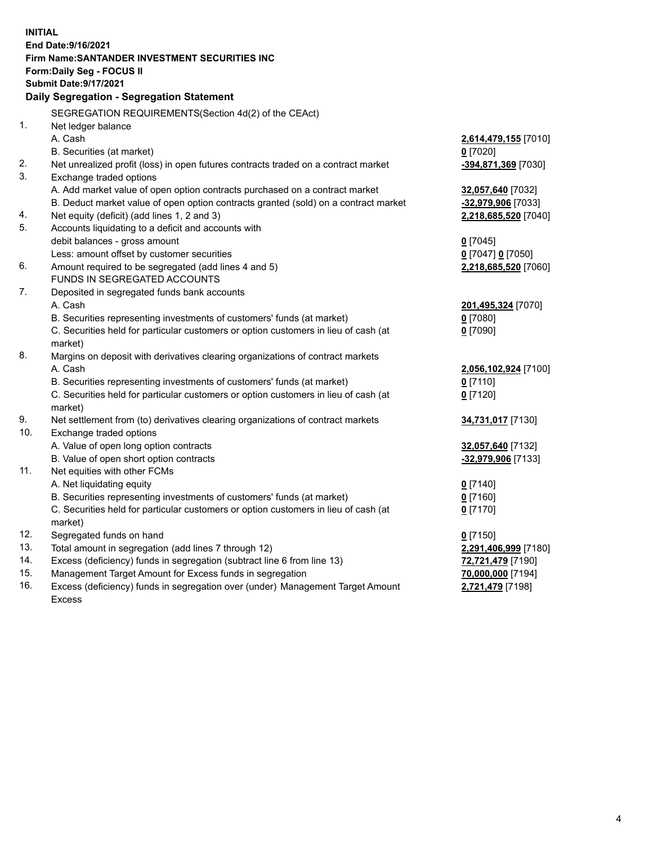| <b>INITIAL</b> |                                                                                     |                                         |
|----------------|-------------------------------------------------------------------------------------|-----------------------------------------|
|                | End Date: 9/16/2021                                                                 |                                         |
|                | Firm Name: SANTANDER INVESTMENT SECURITIES INC                                      |                                         |
|                | <b>Form:Daily Seg - FOCUS II</b>                                                    |                                         |
|                | <b>Submit Date: 9/17/2021</b>                                                       |                                         |
|                | Daily Segregation - Segregation Statement                                           |                                         |
|                | SEGREGATION REQUIREMENTS(Section 4d(2) of the CEAct)                                |                                         |
| 1.             | Net ledger balance                                                                  |                                         |
|                | A. Cash                                                                             | 2,614,479,155 [7010]                    |
|                | B. Securities (at market)                                                           | $0$ [7020]                              |
| 2.             | Net unrealized profit (loss) in open futures contracts traded on a contract market  | -394,871,369 [7030]                     |
| 3.             | Exchange traded options                                                             |                                         |
|                | A. Add market value of open option contracts purchased on a contract market         | 32,057,640 [7032]                       |
|                | B. Deduct market value of open option contracts granted (sold) on a contract market | -32,979,906 [7033]                      |
| 4.             | Net equity (deficit) (add lines 1, 2 and 3)                                         | 2,218,685,520 [7040]                    |
| 5.             | Accounts liquidating to a deficit and accounts with                                 |                                         |
|                | debit balances - gross amount                                                       | $0$ [7045]                              |
|                | Less: amount offset by customer securities                                          | 0 [7047] 0 [7050]                       |
| 6.             | Amount required to be segregated (add lines 4 and 5)                                | 2,218,685,520 [7060]                    |
|                | FUNDS IN SEGREGATED ACCOUNTS                                                        |                                         |
| 7.             | Deposited in segregated funds bank accounts                                         |                                         |
|                | A. Cash                                                                             | 201,495,324 [7070]                      |
|                | B. Securities representing investments of customers' funds (at market)              | $0$ [7080]                              |
|                | C. Securities held for particular customers or option customers in lieu of cash (at | $0$ [7090]                              |
|                | market)                                                                             |                                         |
| 8.             | Margins on deposit with derivatives clearing organizations of contract markets      |                                         |
|                | A. Cash                                                                             | 2,056,102,924 [7100]                    |
|                | B. Securities representing investments of customers' funds (at market)              | $0$ [7110]                              |
|                | C. Securities held for particular customers or option customers in lieu of cash (at | $0$ [7120]                              |
|                | market)                                                                             |                                         |
| 9.<br>10.      | Net settlement from (to) derivatives clearing organizations of contract markets     | 34,731,017 [7130]                       |
|                | Exchange traded options<br>A. Value of open long option contracts                   |                                         |
|                | B. Value of open short option contracts                                             | 32,057,640 [7132]<br>-32,979,906 [7133] |
| 11.            | Net equities with other FCMs                                                        |                                         |
|                | A. Net liquidating equity                                                           | $0$ [7140]                              |
|                | B. Securities representing investments of customers' funds (at market)              | $0$ [7160]                              |
|                | C. Securities held for particular customers or option customers in lieu of cash (at | $0$ [7170]                              |
|                | market)                                                                             |                                         |
| 12.            | Segregated funds on hand                                                            | $0$ [7150]                              |
| 13.            | Total amount in segregation (add lines 7 through 12)                                | 2,291,406,999 [7180]                    |
| 14.            | Excess (deficiency) funds in segregation (subtract line 6 from line 13)             | 72,721,479 [7190]                       |
| 15.            | Management Target Amount for Excess funds in segregation                            | 70,000,000 [7194]                       |
| 16.            | Excess (deficiency) funds in segregation over (under) Management Target Amount      | 2,721,479 [7198]                        |
|                | <b>Excess</b>                                                                       |                                         |